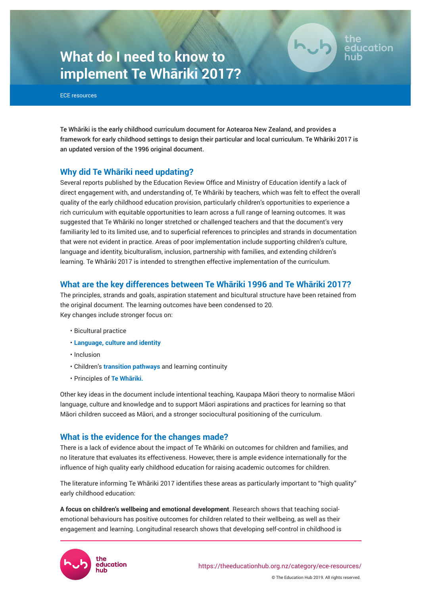# **What do I need to know to implement Te Whāriki 2017?**

ECE resources

Te Whāriki is the early childhood curriculum document for Aotearoa New Zealand, and provides a framework for early childhood settings to design their particular and local curriculum. Te Whāriki 2017 is an updated version of the 1996 original document.

# **Why did Te Whāriki need updating?**

Several reports published by the Education Review Office and Ministry of Education identify a lack of direct engagement with, and understanding of, Te Whāriki by teachers, which was felt to effect the overall quality of the early childhood education provision, particularly children's opportunities to experience a rich curriculum with equitable opportunities to learn across a full range of learning outcomes. It was suggested that Te Whāriki no longer stretched or challenged teachers and that the document's very familiarity led to its limited use, and to superficial references to principles and strands in documentation that were not evident in practice. Areas of poor implementation include supporting children's culture, language and identity, biculturalism, inclusion, partnership with families, and extending children's learning. Te Whāriki 2017 is intended to strengthen effective implementation of the curriculum.

# **What are the key differences between Te Whāriki 1996 and Te Whāriki 2017?**

The principles, strands and goals, aspiration statement and bicultural structure have been retained from the original document. The learning outcomes have been condensed to 20. Key changes include stronger focus on:

- Bicultural practice
- **[Language, culture and identity](https://theeducationhub.org.nz/category/ece-resources/culturally-responsive-pedagogy-ece/)**
- Inclusion
- Children's **[transition pathways](https://theeducationhub.org.nz/category/ece-resources/transitions-ece-resources/)** and learning continuity
- Principles of **[Te Whāriki](https://theeducationhub.org.nz/category/ece-resources/te-whariki/).**

Other key ideas in the document include intentional teaching, Kaupapa Māori theory to normalise Māori language, culture and knowledge and to support Māori aspirations and practices for learning so that Māori children succeed as Māori, and a stronger sociocultural positioning of the curriculum.

# **What is the evidence for the changes made?**

There is a lack of evidence about the impact of Te Whāriki on outcomes for children and families, and no literature that evaluates its effectiveness. However, there is ample evidence internationally for the influence of high quality early childhood education for raising academic outcomes for children.

The literature informing Te Whāriki 2017 identifies these areas as particularly important to "high quality" early childhood education:

**A focus on children's wellbeing and emotional development**. Research shows that teaching socialemotional behaviours has positive outcomes for children related to their wellbeing, as well as their engagement and learning. Longitudinal research shows that developing self-control in childhood is



© The Education Hub 2019. All rights reserved.

ducation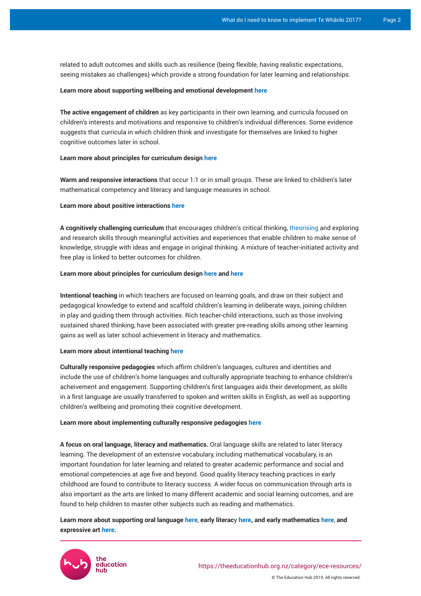related to adult outcomes and skills such as resilience (being flexible, having realistic expectations, seeing mistakes as challenges) which provide a strong foundation for later learning and relationships.

#### **Learn more about supporting wellbeing and emotional development [here](https://theeducationhub.org.nz/category/ece-resources/social-and-emotional-competence-in-ece/)**

**The active engagement of children** as key participants in their own learning, and curricula focused on children's interests and motivations and responsive to children's individual differences. Some evidence suggests that curricula in which children think and investigate for themselves are linked to higher cognitive outcomes later in school.

#### **Learn more about principles for curriculum design [here](https://theeducationhub.org.nz/category/ece-resources/curriculum-design-in-ece/)**

**Warm and responsive interactions** that occur 1:1 or in small groups. These are linked to children's later mathematical competency and literacy and language measures in school.

#### **Learn more about positive interactions [here](https://theeducationhub.org.nz/category/ece-resources/relational-pedagogies/)**

**A cognitively challenging curriculum** that encourages children's critical thinking, [theorising](https://theeducationhub.org.nz/category/ece-resources/working-theories-in-ece/) and exploring and research skills through meaningful activities and experiences that enable children to make sense of knowledge, struggle with ideas and engage in original thinking. A mixture of teacher-initiated activity and free play is linked to better outcomes for children.

#### **Learn more about principles for curriculum design [here](https://theeducationhub.org.nz/how-children-learn-principles-to-underpin-curriculum-design/) and [here](https://theeducationhub.org.nz/supporting-specific-competencies-through-play/)**

**Intentional teaching** in which teachers are focused on learning goals, and draw on their subject and pedagogical knowledge to extend and scaffold children's learning in deliberate ways, joining children in play and guiding them through activities. Rich teacher-child interactions, such as those involving sustained shared thinking, have been associated with greater pre-reading skills among other learning gains as well as later school achievement in literacy and mathematics.

#### **Learn more about intentional teaching [here](https://theeducationhub.org.nz/category/ece-resources/intentional-teaching-in-ece/)**

**Culturally responsive pedagogies** which affirm children's languages, cultures and identities and include the use of children's home languages and culturally appropriate teaching to enhance children's acheivement and engagement. Supporting children's first languages aids their development, as skills in a first language are usually transferred to spoken and written skills in English, as well as supporting children's wellbeing and promoting their cognitive development.

#### **Learn more about implementing culturally responsive pedagogies [here](https://theeducationhub.org.nz/category/ece-resources/culturally-responsive-pedagogy-ece/)**

**A focus on oral language, literacy and mathematics.** Oral language skills are related to later literacy learning. The development of an extensive vocabulary, including mathematical vocabulary, is an important foundation for later learning and related to greater academic performance and social and emotional competencies at age five and beyond. Good quality literacy teaching practices in early childhood are found to contribute to literacy success. A wider focus on communication through arts is also important as the arts are linked to many different academic and social learning outcomes, and are found to help children to master other subjects such as reading and mathematics.

## **Learn more about supporting oral language [here](https://theeducationhub.org.nz/strategies-for-supporting-childrens-communication-in-educational-settings/)**, **early literac**y **[here](https://theeducationhub.org.nz/supporting-early-literacy-in-early-childhood-education/), and early mathematics [here](https://theeducationhub.org.nz/category/ece-resources/early-mathematical-thinking/)**, **and expressive art [here.](https://theeducationhub.org.nz/an-introduction-to-the-visual-arts-in-early-childhood-education/)**

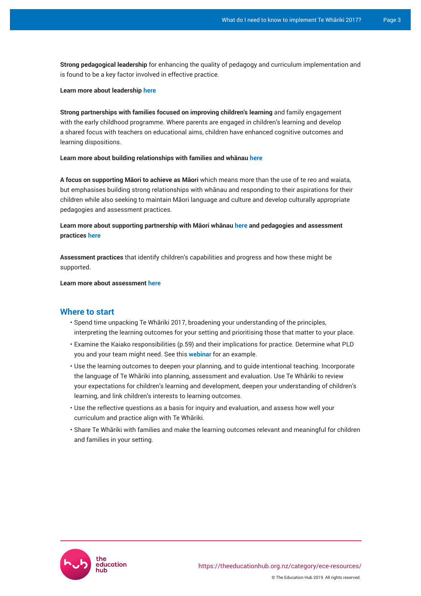**Strong pedagogical leadership** for enhancing the quality of pedagogy and curriculum implementation and is found to be a key factor involved in effective practice.

#### **Learn more about leadership [here](https://theeducationhub.org.nz/category/ece-resources/building-effective-teams/)**

**Strong partnerships with families focused on improving children's learning** and family engagement with the early childhood programme. Where parents are engaged in children's learning and develop a shared focus with teachers on educational aims, children have enhanced cognitive outcomes and learning dispositions.

#### **Learn more about building relationships with families and whānau [here](https://theeducationhub.org.nz/category/ece-resources/parent-and-whanau-relationships-in-ece/)**

**A focus on supporting Māori to achieve as Māori** which means more than the use of te reo and waiata, but emphasises building strong relationships with whānau and responding to their aspirations for their children while also seeking to maintain Māori language and culture and develop culturally appropriate pedagogies and assessment practices.

## **Learn more about supporting partnership with Māori whānau [here](https://theeducationhub.org.nz/how-to-support-maori-children-with-culturally-responsive-teaching/) and pedagogies and assessment practices [here](https://theeducationhub.org.nz/culturally-responsive-assessment-based-on-kaupapa-maori/)**

**Assessment practices** that identify children's capabilities and progress and how these might be supported.

**Learn more about assessment [here](https://theeducationhub.org.nz/category/ece-resources/assessment-in-ece/)**

#### **Where to start**

- Spend time unpacking Te Whāriki 2017, broadening your understanding of the principles, interpreting the learning outcomes for your setting and prioritising those that matter to your place.
- Examine the Kaiako responsibilities (p.59) and their implications for practice. Determine what PLD you and your team might need. See this **[webinar](https://theeducationhub.org.nz/ece-webinar-promoting-childrens-social-emotional-learning-and-development/)** for an example.
- Use the learning outcomes to deepen your planning, and to guide intentional teaching. Incorporate the language of Te Whāriki into planning, assessment and evaluation. Use Te Whāriki to review your expectations for children's learning and development, deepen your understanding of children's learning, and link children's interests to learning outcomes.
- Use the reflective questions as a basis for inquiry and evaluation, and assess how well your curriculum and practice align with Te Whāriki.
- Share Te Whāriki with families and make the learning outcomes relevant and meaningful for children and families in your setting.